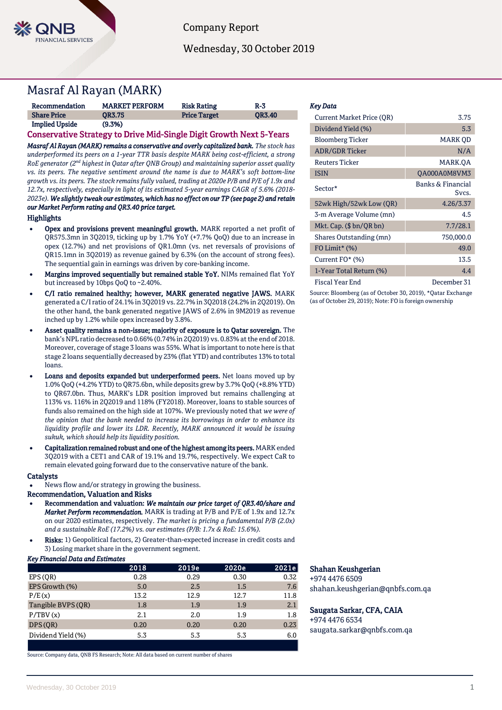

Company Report

Wednesday, 30 October 2019

# Masraf Al Rayan (MARK)

| Recommendation        | <b>MARKET PERFORM</b> | <b>Risk Rating</b>  | $R-3$         |
|-----------------------|-----------------------|---------------------|---------------|
| <b>Share Price</b>    | <b>OR3.75</b>         | <b>Price Target</b> | <b>OR3.40</b> |
| <b>Implied Upside</b> | (9.3%)                |                     |               |

# Conservative Strategy to Drive Mid-Single Digit Growth Next 5-Years

*Masraf Al Rayan (MARK) remains a conservative and overly capitalized bank. The stock has underperformed its peers on a 1-year TTR basis despite MARK being cost-efficient, a strong RoE generator (2nd highest in Qatar after QNB Group) and maintaining superior asset quality vs. its peers. The negative sentiment around the name is due to MARK's soft bottom-line growth vs. its peers. The stock remains fully valued, trading at 2020e P/B and P/E of 1.9x and 12.7x, respectively, especially in light of its estimated 5-year earnings CAGR of 5.6% (2018- 2023e).We slightly tweak our estimates, which has no effect on our TP (see page 2) and retain our Market Perform rating and QR3.40 price target.* 

#### **Highlights**

- Opex and provisions prevent meaningful growth. MARK reported a net profit of QR575.3mn in 3Q2019, ticking up by 1.7% YoY (+7.7% QoQ) due to an increase in opex (12.7%) and net provisions of QR1.0mn (vs. net reversals of provisions of QR15.1mn in 3Q2019) as revenue gained by 6.3% (on the account of strong fees). The sequential gain in earnings was driven by core-banking income.
- Margins improved sequentially but remained stable YoY. NIMs remained flat YoY but increased by 10bps QoQ to ~2.40%.
- C/I ratio remained healthy; however, MARK generated negative JAWS. MARK generated a C/I ratio of 24.1% in 3Q2019 vs. 22.7% in 3Q2018 (24.2% in 2Q2019). On the other hand, the bank generated negative JAWS of 2.6% in 9M2019 as revenue inched up by 1.2% while opex increased by 3.8%.
- Asset quality remains a non-issue; majority of exposure is to Qatar sovereign. The bank's NPL ratio decreased to 0.66% (0.74% in 2Q2019) vs. 0.83% at the end of 2018. Moreover, coverage of stage 3 loans was 55%. What is important to note here is that stage 2 loans sequentially decreased by 23% (flat YTD) and contributes 13% to total loans.
- Loans and deposits expanded but underperformed peers. Net loans moved up by 1.0% QoQ (+4.2% YTD) to QR75.6bn, while deposits grew by 3.7% QoQ (+8.8% YTD) to QR67.0bn. Thus, MARK's LDR position improved but remains challenging at 113% vs. 116% in 2Q2019 and 118% (FY2018). Moreover, loans to stable sources of funds also remained on the high side at 107%. We previously noted that *we were of the opinion that the bank needed to increase its borrowings in order to enhance its liquidity profile and lower its LDR. Recently, MARK announced it would be issuing sukuk, which should help its liquidity position.*
- Capitalization remained robust and one of the highest among its peers. MARK ended 3Q2019 with a CET1 and CAR of 19.1% and 19.7%, respectively. We expect CaR to remain elevated going forward due to the conservative nature of the bank.

#### **Catalysts**

News flow and/or strategy in growing the business.

## Recommendation, Valuation and Risks

- Recommendation and valuation: *We maintain our price target of QR3.40/share and Market Perform recommendation.* MARK is trading at P/B and P/E of 1.9x and 12.7x on our 2020 estimates, respectively. *The market is pricing a fundamental P/B (2.0x) and a sustainable RoE (17.2%) vs. our estimates (P/B: 1.7x & RoE: 15.6%).*
- Risks: 1) Geopolitical factors, 2) Greater-than-expected increase in credit costs and 3) Losing market share in the government segment.

## *Key Financial Data and Estimates*

|                    | 2018 | 2019e | 2020e | 2021e |
|--------------------|------|-------|-------|-------|
| EPS(QR)            | 0.28 | 0.29  | 0.30  | 0.32  |
| EPS Growth (%)     | 5.0  | 2.5   | 1.5   | 7.6   |
| P/E(x)             | 13.2 | 12.9  | 12.7  | 11.8  |
| Tangible BVPS (OR) | 1.8  | 1.9   | 1.9   | 2.1   |
| P/TBV(x)           | 2.1  | 2.0   | 1.9   | 1.8   |
| DPS (OR)           | 0.20 | 0.20  | 0.20  | 0.23  |
| Dividend Yield (%) | 5.3  | 5.3   | 5.3   | 6.0   |
|                    |      |       |       |       |

Source: Company data, QNB FS Research; Note: All data based on current number of shares

#### *Key Data*

| <b>Current Market Price (OR)</b> | 3.75                       |
|----------------------------------|----------------------------|
| Dividend Yield (%)               | 5.3                        |
| <b>Bloomberg Ticker</b>          | MARK OD                    |
| <b>ADR/GDR Ticker</b>            | N/A                        |
| <b>Reuters Ticker</b>            | MARK.OA                    |
| <b>ISIN</b>                      | OA000A0M8VM3               |
| Sector*                          | Banks & Financial<br>Sycs. |
| 52wk High/52wk Low (QR)          | 4.26/3.37                  |
| 3-m Average Volume (mn)          | 4.5                        |
| Mkt. Cap. $(\$bn/QR bn)$         | 7.7/28.1                   |
| Shares Outstanding (mn)          | 750,000.0                  |
| FO Limit* $(\%)$                 | 49.0                       |
| Current FO* (%)                  | 13.5                       |
| 1-Year Total Return (%)          | 4.4                        |
| <b>Fiscal Year End</b>           | December 31                |

Source: Bloomberg (as of October 30, 2019), \*Qatar Exchange (as of October 29, 2019); Note: FO is foreign ownership

### Shahan Keushgerian

+974 4476 6509 shahan.keushgerian@qnbfs.com.qa

#### Saugata Sarkar, CFA, CAIA

+974 4476 6534 saugata.sarkar@qnbfs.com.qa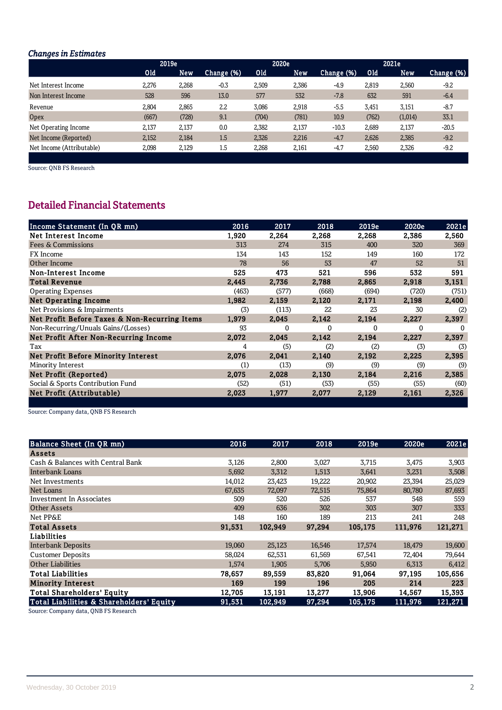# **Changes in Estimates**

|                           | 2019e |       |            |       | 2020e      |            |       | 2021e   |            |
|---------------------------|-------|-------|------------|-------|------------|------------|-------|---------|------------|
|                           | Old   | New   | Change (%) | Old   | <b>New</b> | Change (%) | Old   | New     | Change (%) |
| Net Interest Income       | 2,276 | 2,268 | $-0.3$     | 2,509 | 2,386      | $-4.9$     | 2,819 | 2,560   | $-9.2$     |
| Non Interest Income       | 528   | 596   | 13.0       | 577   | 532        | $-7.8$     | 632   | 591     | $-6.4$     |
| Revenue                   | 2,804 | 2,865 | 2.2        | 3,086 | 2,918      | $-5.5$     | 3,451 | 3,151   | $-8.7$     |
| <b>Opex</b>               | (667) | (728) | 9.1        | (704) | (781)      | 10.9       | (762) | (1,014) | 33.1       |
| Net Operating Income      | 2,137 | 2,137 | 0.0        | 2,382 | 2,137      | $-10.3$    | 2,689 | 2,137   | $-20.5$    |
| Net Income (Reported)     | 2,152 | 2,184 | 1.5        | 2,326 | 2.216      | $-4.7$     | 2.626 | 2,385   | $-9.2$     |
| Net Income (Attributable) | 2,098 | 2.129 | 1.5        | 2,268 | 2,161      | $-4.7$     | 2.560 | 2,326   | $-9.2$     |
|                           |       |       |            |       |            |            |       |         |            |

Source: QNB FS Research

# **Detailed Financial Statements**

| Income Statement (In QR mn)                   | 2016  | 2017     | 2018     | 2019e | 2020e    | 2021e |
|-----------------------------------------------|-------|----------|----------|-------|----------|-------|
| Net Interest Income                           | 1,920 | 2,264    | 2,268    | 2,268 | 2,386    | 2,560 |
| Fees & Commissions                            | 313   | 274      | 315      | 400   | 320      | 369   |
| <b>FX</b> Income                              | 134   | 143      | 152      | 149   | 160      | 172   |
| Other Income                                  | 78    | 56       | 53       | 47    | 52       | 51    |
| Non-Interest Income                           | 525   | 473      | 521      | 596   | 532      | 591   |
| <b>Total Revenue</b>                          | 2,445 | 2.736    | 2,788    | 2,865 | 2,918    | 3,151 |
| <b>Operating Expenses</b>                     | (463) | (577)    | (668)    | (694) | (720)    | (751) |
| <b>Net Operating Income</b>                   | 1,982 | 2,159    | 2,120    | 2,171 | 2,198    | 2,400 |
| Net Provisions & Impairments                  | (3)   | (113)    | 22       | 23    | 30       | (2)   |
| Net Profit Before Taxes & Non-Recurring Items | 1,979 | 2.045    | 2,142    | 2,194 | 2,227    | 2,397 |
| Non-Recurring/Unuals Gains/(Losses)           | 93    | $\Omega$ | $\Omega$ | U     | $\Omega$ |       |
| Net Profit After Non-Recurring Income         | 2,072 | 2.045    | 2.142    | 2.194 | 2,227    | 2,397 |
| Tax                                           | 4     | (5)      | (2)      | (2)   | (3)      | (3)   |
| <b>Net Profit Before Minority Interest</b>    | 2.076 | 2,041    | 2,140    | 2,192 | 2,225    | 2,395 |
| Minority Interest                             | (1)   | (13)     | (9)      | (9)   | (9)      | (9)   |
| Net Profit (Reported)                         | 2.075 | 2.028    | 2.130    | 2,184 | 2,216    | 2.385 |
| Social & Sports Contribution Fund             | (52)  | (51)     | (53)     | (55)  | (55)     | (60)  |
| Net Profit (Attributable)                     | 2,023 | 1,977    | 2,077    | 2,129 | 2,161    | 2,326 |
|                                               |       |          |          |       |          |       |

Source: Company data, QNB FS Research

| Balance Sheet (In QR mn)                 | 2016   | 2017    | 2018   | 2019e   | 2020e   | 2021e   |
|------------------------------------------|--------|---------|--------|---------|---------|---------|
| <b>Assets</b>                            |        |         |        |         |         |         |
| Cash & Balances with Central Bank        | 3,126  | 2,800   | 3,027  | 3,715   | 3,475   | 3,903   |
| Interbank Loans                          | 5,692  | 3,312   | 1,513  | 3,641   | 3,231   | 3,508   |
| Net Investments                          | 14,012 | 23,423  | 19,222 | 20,902  | 23,394  | 25,029  |
| Net Loans                                | 67,635 | 72,097  | 72,515 | 75,864  | 80,780  | 87,693  |
| Investment In Associates                 | 509    | 520     | 526    | 537     | 548     | 559     |
| Other Assets                             | 409    | 636     | 302    | 303     | 307     | 333     |
| Net PP&E                                 | 148    | 160     | 189    | 213     | 241     | 248     |
| <b>Total Assets</b>                      | 91,531 | 102,949 | 97,294 | 105,175 | 111,976 | 121,271 |
| Liabilities                              |        |         |        |         |         |         |
| <b>Interbank Deposits</b>                | 19,060 | 25,123  | 16,546 | 17,574  | 18,479  | 19,600  |
| <b>Customer Deposits</b>                 | 58,024 | 62,531  | 61,569 | 67,541  | 72,404  | 79,644  |
| <b>Other Liabilities</b>                 | 1,574  | 1,905   | 5,706  | 5,950   | 6,313   | 6,412   |
| <b>Total Liabilities</b>                 | 78,657 | 89,559  | 83,820 | 91,064  | 97,195  | 105,656 |
| <b>Minority Interest</b>                 | 169    | 199     | 196    | 205     | 214     | 223     |
| <b>Total Shareholders' Equity</b>        | 12,705 | 13,191  | 13,277 | 13,906  | 14.567  | 15,393  |
| Total Liabilities & Shareholders' Equity | 91,531 | 102,949 | 97,294 | 105,175 | 111,976 | 121,271 |

Source: Company data, QNB FS Research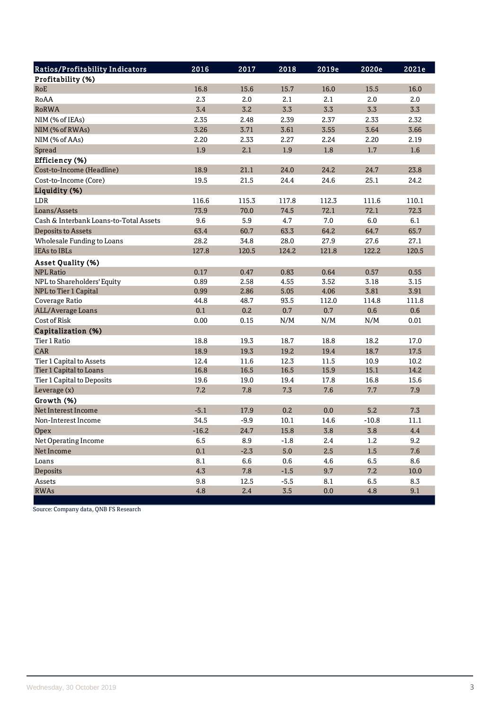| Ratios/Profitability Indicators        | 2016    | 2017   | 2018   | 2019e | 2020e   | 2021e |
|----------------------------------------|---------|--------|--------|-------|---------|-------|
| Profitability (%)                      |         |        |        |       |         |       |
| RoE                                    | 16.8    | 15.6   | 15.7   | 16.0  | 15.5    | 16.0  |
| RoAA                                   | 2.3     | 2.0    | 2.1    | 2.1   | 2.0     | 2.0   |
| <b>RoRWA</b>                           | 3.4     | 3.2    | 3.3    | 3.3   | 3.3     | 3.3   |
| NIM (% of IEAs)                        | 2.35    | 2.48   | 2.39   | 2.37  | 2.33    | 2.32  |
| NIM (% of RWAs)                        | 3.26    | 3.71   | 3.61   | 3.55  | 3.64    | 3.66  |
| NIM (% of AAs)                         | 2.20    | 2.33   | 2.27   | 2.24  | 2.20    | 2.19  |
| Spread                                 | 1.9     | 2.1    | 1.9    | 1.8   | 1.7     | 1.6   |
| Efficiency (%)                         |         |        |        |       |         |       |
| Cost-to-Income (Headline)              | 18.9    | 21.1   | 24.0   | 24.2  | 24.7    | 23.8  |
| Cost-to-Income (Core)                  | 19.5    | 21.5   | 24.4   | 24.6  | 25.1    | 24.2  |
| Liquidity (%)                          |         |        |        |       |         |       |
| LDR                                    | 116.6   | 115.3  | 117.8  | 112.3 | 111.6   | 110.1 |
| Loans/Assets                           | 73.9    | 70.0   | 74.5   | 72.1  | 72.1    | 72.3  |
| Cash & Interbank Loans-to-Total Assets | 9.6     | 5.9    | 4.7    | 7.0   | 6.0     | 6.1   |
| <b>Deposits to Assets</b>              | 63.4    | 60.7   | 63.3   | 64.2  | 64.7    | 65.7  |
| <b>Wholesale Funding to Loans</b>      | 28.2    | 34.8   | 28.0   | 27.9  | 27.6    | 27.1  |
| <b>IEAs to IBLs</b>                    | 127.8   | 120.5  | 124.2  | 121.8 | 122.2   | 120.5 |
| <b>Asset Quality (%)</b>               |         |        |        |       |         |       |
| <b>NPL Ratio</b>                       | 0.17    | 0.47   | 0.83   | 0.64  | 0.57    | 0.55  |
| NPL to Shareholders' Equity            | 0.89    | 2.58   | 4.55   | 3.52  | 3.18    | 3.15  |
| NPL to Tier 1 Capital                  | 0.99    | 2.86   | 5.05   | 4.06  | 3.81    | 3.91  |
| Coverage Ratio                         | 44.8    | 48.7   | 93.5   | 112.0 | 114.8   | 111.8 |
| <b>ALL/Average Loans</b>               | 0.1     | 0.2    | 0.7    | 0.7   | 0.6     | 0.6   |
| Cost of Risk                           | 0.00    | 0.15   | N/M    | N/M   | N/M     | 0.01  |
| Capitalization (%)                     |         |        |        |       |         |       |
| Tier 1 Ratio                           | 18.8    | 19.3   | 18.7   | 18.8  | 18.2    | 17.0  |
| CAR                                    | 18.9    | 19.3   | 19.2   | 19.4  | 18.7    | 17.5  |
| Tier 1 Capital to Assets               | 12.4    | 11.6   | 12.3   | 11.5  | 10.9    | 10.2  |
| Tier 1 Capital to Loans                | 16.8    | 16.5   | 16.5   | 15.9  | 15.1    | 14.2  |
| Tier 1 Capital to Deposits             | 19.6    | 19.0   | 19.4   | 17.8  | 16.8    | 15.6  |
| Leverage $(x)$                         | 7.2     | 7.8    | 7.3    | 7.6   | 7.7     | 7.9   |
| Growth (%)                             |         |        |        |       |         |       |
| Net Interest Income                    | $-5.1$  | 17.9   | 0.2    | 0.0   | 5.2     | 7.3   |
| Non-Interest Income                    | 34.5    | $-9.9$ | 10.1   | 14.6  | $-10.8$ | 11.1  |
| Opex                                   | $-16.2$ | 24.7   | 15.8   | 3.8   | 3.8     | 4.4   |
| Net Operating Income                   | 6.5     | 8.9    | $-1.8$ | 2.4   | 1.2     | 9.2   |
| Net Income                             | 0.1     | $-2.3$ | 5.0    | 2.5   | 1.5     | 7.6   |
| Loans                                  | 8.1     | 6.6    | 0.6    | 4.6   | 6.5     | 8.6   |
| Deposits                               | 4.3     | 7.8    | $-1.5$ | 9.7   | 7.2     | 10.0  |
| Assets                                 | 9.8     | 12.5   | $-5.5$ | 8.1   | 6.5     | 8.3   |
| <b>RWAs</b>                            | 4.8     | 2.4    | 3.5    | 0.0   | 4.8     | 9.1   |

Source: Company data, QNB FS Research